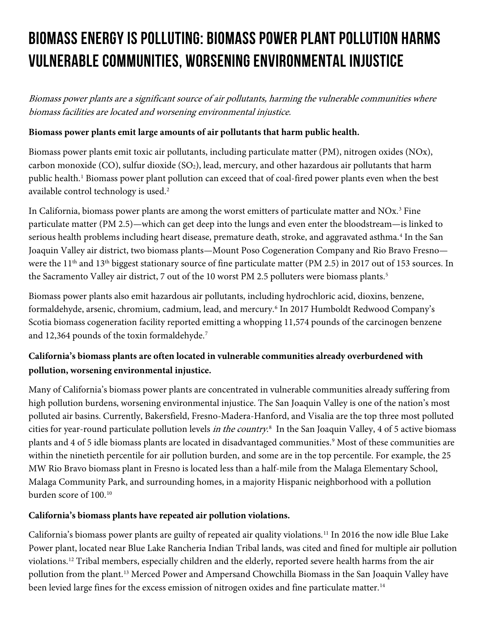# **Biomass Energy Is Polluting: Biomass Power Plant Pollution Harms Vulnerable Communities, Worsening Environmental Injustice**

Biomass power plants are a significant source of air pollutants, harming the vulnerable communities where biomass facilities are located and worsening environmental injustice.

## **Biomass power plants emit large amounts of air pollutants that harm public health.**

Biomass power plants emit toxic air pollutants, including particulate matter (PM), nitrogen oxides (NOx), carbon monoxide (CO), sulfur dioxide (SO<sub>2</sub>), lead, mercury, and other hazardous air pollutants that harm public health. [1](#page-1-0) Biomass power plant pollution can exceed that of coal-fired power plants even when the best available control technology is used.<sup>[2](#page-1-1)</sup>

In California, biomass power plants are among the worst emitters of particulate matter and NOx.<sup>[3](#page-1-2)</sup> Fine particulate matter (PM 2.5)—which can get deep into the lungs and even enter the bloodstream—is linked to serious health problems including heart disease, premature death, stroke, and aggravated asthma.<sup>[4](#page-1-3)</sup> In the San Joaquin Valley air district, two biomass plants—Mount Poso Cogeneration Company and Rio Bravo Fresno were the 11<sup>th</sup> and 13<sup>th</sup> biggest stationary source of fine particulate matter (PM 2.5) in 2017 out of 153 sources. In the Sacramento Valley air district, 7 out of the 10 worst PM 2.[5](#page-1-4) polluters were biomass plants.<sup>5</sup>

Biomass power plants also emit hazardous air pollutants, including hydrochloric acid, dioxins, benzene, formaldehyde, arsenic, chromium, cadmium, lead, and mercury.[6](#page-1-5) In 2017 Humboldt Redwood Company's Scotia biomass cogeneration facility reported emitting a whopping 11,574 pounds of the carcinogen benzene and 12,364 pounds of the toxin formaldehyde.<sup>7</sup>

# **California's biomass plants are often located in vulnerable communities already overburdened with pollution, worsening environmental injustice.**

Many of California's biomass power plants are concentrated in vulnerable communities already suffering from high pollution burdens, worsening environmental injustice. The San Joaquin Valley is one of the nation's most polluted air basins. Currently, Bakersfield, Fresno-Madera-Hanford, and Visalia are the top three most polluted cities for year-round particulate pollution levels in the country.<sup>[8](#page-1-7)</sup> In the San Joaquin Valley, 4 of 5 active biomass plants and 4 of 5 idle biomass plants are located in disadvantaged communities.<sup>[9](#page-1-8)</sup> Most of these communities are within the ninetieth percentile for air pollution burden, and some are in the top percentile. For example, the 25 MW Rio Bravo biomass plant in Fresno is located less than a half-mile from the Malaga Elementary School, Malaga Community Park, and surrounding homes, in a majority Hispanic neighborhood with a pollution burden score of 100[.10](#page-1-9)

## **California's biomass plants have repeated air pollution violations.**

California's biomass power plants are guilty of repeated air quality violations.[11](#page-1-10) In 2016 the now idle Blue Lake Power plant, located near Blue Lake Rancheria Indian Tribal lands, was cited and fined for multiple air pollution violations[.12](#page-1-11) Tribal members, especially children and the elderly, reported severe health harms from the air pollution from the plant.[13](#page-1-12) Merced Power and Ampersand Chowchilla Biomass in the San Joaquin Valley have been levied large fines for the excess emission of nitrogen oxides and fine particulate matter.<sup>[14](#page-1-13)</sup>